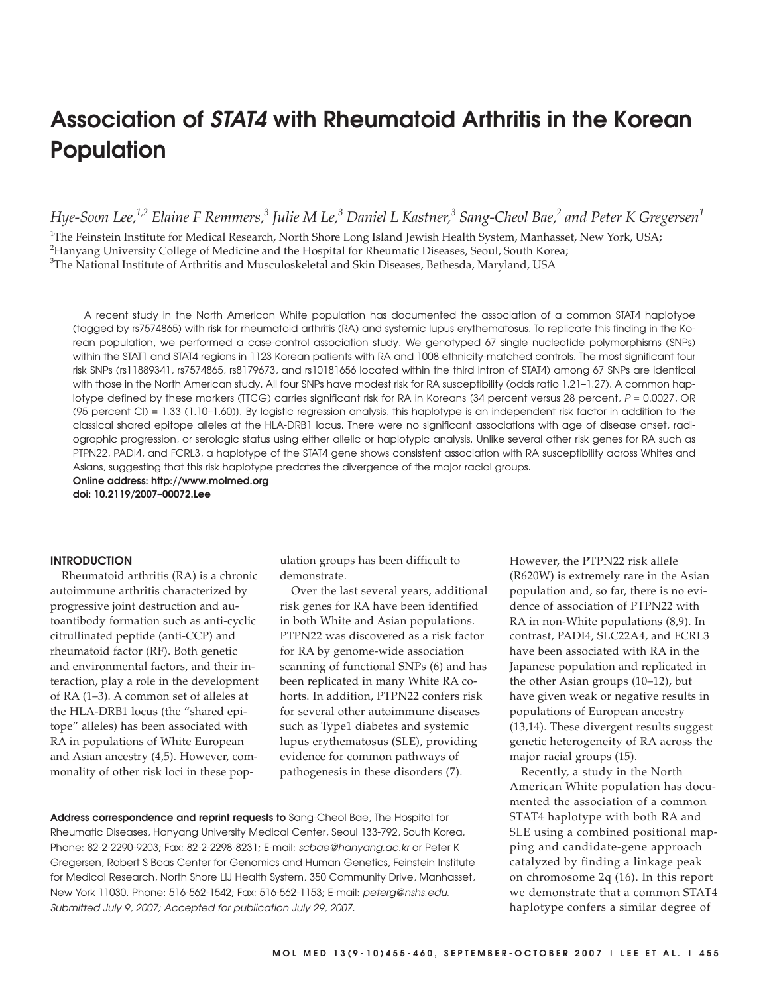# **Association of STAT4 with Rheumatoid Arthritis in the Korean Population**

*Hye-Soon Lee,1,2 Elaine F Remmers,3 Julie M Le,3 Daniel L Kastner,3 Sang-Cheol Bae,2 and Peter K Gregersen1*

1 The Feinstein Institute for Medical Research, North Shore Long Island Jewish Health System, Manhasset, New York, USA; <sup>2</sup>Hanyang University College of Medicine and the Hospital for Rheumatic Diseases, Seoul, South Korea; <sup>3</sup>The National Institute of Arthritis and Musculoskeletal and Skin Diseases, Bethesda, Maryland, USA

A recent study in the North American White population has documented the association of a common STAT4 haplotype (tagged by rs7574865) with risk for rheumatoid arthritis (RA) and systemic lupus erythematosus. To replicate this finding in the Korean population, we performed a case-control association study. We genotyped 67 single nucleotide polymorphisms (SNPs) within the STAT1 and STAT4 regions in 1123 Korean patients with RA and 1008 ethnicity-matched controls. The most significant four risk SNPs (rs11889341, rs7574865, rs8179673, and rs10181656 located within the third intron of STAT4) among 67 SNPs are identical with those in the North American study. All four SNPs have modest risk for RA susceptibility (odds ratio 1.21-1.27). A common haplotype defined by these markers (TTCG) carries significant risk for RA in Koreans (34 percent versus 28 percent, P = 0.0027, OR (95 percent CI) = 1.33 (1.10–1.60)]. By logistic regression analysis, this haplotype is an independent risk factor in addition to the classical shared epitope alleles at the HLA-DRB1 locus. There were no significant associations with age of disease onset, radiographic progression, or serologic status using either allelic or haplotypic analysis. Unlike several other risk genes for RA such as PTPN22, PADI4, and FCRL3, a haplotype of the STAT4 gene shows consistent association with RA susceptibility across Whites and Asians, suggesting that this risk haplotype predates the divergence of the major racial groups.

**Online address: http://www.molmed.org doi: 10.2119/2007–00072.Lee**

## **INTRODUCTION**

Rheumatoid arthritis (RA) is a chronic autoimmune arthritis characterized by progressive joint destruction and autoantibody formation such as anti-cyclic citrullinated peptide (anti-CCP) and rheumatoid factor (RF). Both genetic and environmental factors, and their interaction, play a role in the development of RA (1–3). A common set of alleles at the HLA-DRB1 locus (the "shared epitope" alleles) has been associated with RA in populations of White European and Asian ancestry (4,5). However, commonality of other risk loci in these population groups has been difficult to demonstrate.

Over the last several years, additional risk genes for RA have been identified in both White and Asian populations. PTPN22 was discovered as a risk factor for RA by genome-wide association scanning of functional SNPs (6) and has been replicated in many White RA cohorts. In addition, PTPN22 confers risk for several other autoimmune diseases such as Type1 diabetes and systemic lupus erythematosus (SLE), providing evidence for common pathways of pathogenesis in these disorders (7).

**Address correspondence and reprint requests to** Sang-Cheol Bae, The Hospital for Rheumatic Diseases, Hanyang University Medical Center, Seoul 133-792, South Korea. Phone: 82-2-2290-9203; Fax: 82-2-2298-8231; E-mail: scbae@hanyang.ac.kr or Peter K Gregersen, Robert S Boas Center for Genomics and Human Genetics, Feinstein Institute for Medical Research, North Shore LIJ Health System, 350 Community Drive, Manhasset, New York 11030. Phone: 516-562-1542; Fax: 516-562-1153; E-mail: peterg@nshs.edu. Submitted July 9, 2007; Accepted for publication July 29, 2007.

However, the PTPN22 risk allele (R620W) is extremely rare in the Asian population and, so far, there is no evidence of association of PTPN22 with RA in non-White populations (8,9). In contrast, PADI4, SLC22A4, and FCRL3 have been associated with RA in the Japanese population and replicated in the other Asian groups (10–12), but have given weak or negative results in populations of European ancestry (13,14). These divergent results suggest genetic heterogeneity of RA across the major racial groups (15).

Recently, a study in the North American White population has documented the association of a common STAT4 haplotype with both RA and SLE using a combined positional mapping and candidate-gene approach catalyzed by finding a linkage peak on chromosome 2q (16). In this report we demonstrate that a common STAT4 haplotype confers a similar degree of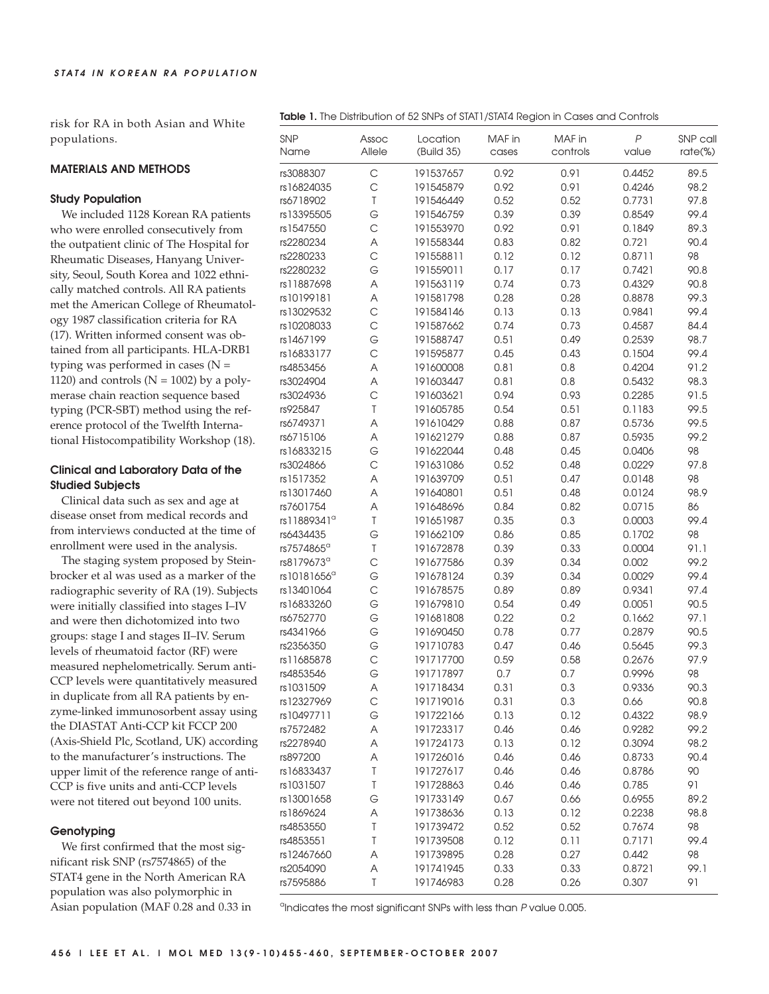risk for RA in both Asian and White populations.

#### **MATERIALS AND METHODS**

## **Study Population**

We included 1128 Korean RA patients who were enrolled consecutively from the outpatient clinic of The Hospital for Rheumatic Diseases, Hanyang University, Seoul, South Korea and 1022 ethnically matched controls. All RA patients met the American College of Rheumatology 1987 classification criteria for RA (17). Written informed consent was obtained from all participants. HLA-DRB1 typing was performed in cases  $(N =$ 1120) and controls ( $N = 1002$ ) by a polymerase chain reaction sequence based typing (PCR-SBT) method using the reference protocol of the Twelfth International Histocompatibility Workshop (18).

# **Clinical and Laboratory Data of the Studied Subjects**

Clinical data such as sex and age at disease onset from medical records and from interviews conducted at the time of enrollment were used in the analysis.

The staging system proposed by Steinbrocker et al was used as a marker of the radiographic severity of RA (19). Subjects were initially classified into stages I–IV and were then dichotomized into two groups: stage I and stages II–IV. Serum levels of rheumatoid factor (RF) were measured nephelometrically. Serum anti-CCP levels were quantitatively measured in duplicate from all RA patients by enzyme-linked immunosorbent assay using the DIASTAT Anti-CCP kit FCCP 200 (Axis-Shield Plc, Scotland, UK) according to the manufacturer's instructions. The upper limit of the reference range of anti-CCP is five units and anti-CCP levels were not titered out beyond 100 units.

#### **Genotyping**

We first confirmed that the most significant risk SNP (rs7574865) of the STAT4 gene in the North American RA population was also polymorphic in Asian population (MAF 0.28 and 0.33 in

|  | <b>Table 1.</b> The Distribution of 52 SNPs of STAT1/STAT4 Region in Cases and Controls |  |  |  |  |  |
|--|-----------------------------------------------------------------------------------------|--|--|--|--|--|
|--|-----------------------------------------------------------------------------------------|--|--|--|--|--|

| <b>SNP</b><br>Name      | Assoc<br>Allele | Location<br>(Build 35) | MAF in<br>cases | MAF in<br>controls | P<br>value | SNP call<br>$rate$ %) |
|-------------------------|-----------------|------------------------|-----------------|--------------------|------------|-----------------------|
| rs3088307               | $\mathsf{C}$    | 191537657              | 0.92            | 0.91               | 0.4452     | 89.5                  |
| rs16824035              | $\mathsf{C}$    | 191545879              | 0.92            | 0.91               | 0.4246     | 98.2                  |
| rs6718902               | $\top$          | 191546449              | 0.52            | 0.52               | 0.7731     | 97.8                  |
| rs13395505              | G               | 191546759              | 0.39            | 0.39               | 0.8549     | 99.4                  |
| rs1547550               | $\mathsf C$     | 191553970              | 0.92            | 0.91               | 0.1849     | 89.3                  |
| rs2280234               | A               | 191558344              | 0.83            | 0.82               | 0.721      | 90.4                  |
| rs2280233               | $\mathsf{C}$    | 191558811              | 0.12            | 0.12               | 0.8711     | 98                    |
| rs2280232               | G               | 191559011              | 0.17            | 0.17               | 0.7421     | 90.8                  |
| rs11887698              | Α               | 191563119              | 0.74            | 0.73               | 0.4329     | 90.8                  |
| rs10199181              | Α               | 191581798              | 0.28            | 0.28               | 0.8878     | 99.3                  |
| rs13029532              | $\mathsf{C}$    | 191584146              | 0.13            | 0.13               | 0.9841     | 99.4                  |
| rs10208033              | $\mathsf{C}$    | 191587662              | 0.74            | 0.73               | 0.4587     | 84.4                  |
| rs1467199               | G               | 191588747              | 0.51            | 0.49               | 0.2539     | 98.7                  |
| rs16833177              | $\mathsf{C}$    | 191595877              | 0.45            | 0.43               | 0.1504     | 99.4                  |
| rs4853456               | Α               | 191600008              | 0.81            | 0.8                | 0.4204     | 91.2                  |
| rs3024904               | Α               | 191603447              | 0.81            | 0.8                | 0.5432     | 98.3                  |
| rs3024936               | $\mathsf{C}$    | 191603621              | 0.94            | 0.93               | 0.2285     | 91.5                  |
| rs925847                | T               | 191605785              | 0.54            | 0.51               | 0.1183     | 99.5                  |
| rs6749371               | A               | 191610429              | 0.88            | 0.87               | 0.5736     | 99.5                  |
| rs6715106               | Α               | 191621279              | 0.88            | 0.87               | 0.5935     | 99.2                  |
| rs16833215              | G               | 191622044              | 0.48            | 0.45               | 0.0406     | 98                    |
| rs3024866               | $\mathsf{C}$    | 191631086              | 0.52            | 0.48               | 0.0229     | 97.8                  |
| rs1517352               | A               | 191639709              | 0.51            | 0.47               | 0.0148     | 98                    |
| rs13017460              | Α               | 191640801              | 0.51            | 0.48               | 0.0124     | 98.9                  |
| rs7601754               | Α               | 191648696              | 0.84            | 0.82               | 0.0715     | 86                    |
| rs11889341 <sup>a</sup> | T               | 191651987              | 0.35            | 0.3                | 0.0003     | 99.4                  |
| rs6434435               | G               | 191662109              | 0.86            | 0.85               | 0.1702     | 98                    |
| rs7574865 <sup>a</sup>  | T               | 191672878              | 0.39            | 0.33               | 0.0004     | 91.1                  |
| rs8179673 <sup>a</sup>  | $\mathsf{C}$    | 191677586              | 0.39            | 0.34               | 0.002      | 99.2                  |
| rs10181656 <sup>a</sup> | G               | 191678124              | 0.39            | 0.34               | 0.0029     | 99.4                  |
| rs13401064              | $\mathsf C$     | 191678575              | 0.89            | 0.89               | 0.9341     | 97.4                  |
| rs16833260              | G               | 191679810              | 0.54            | 0.49               | 0.0051     | 90.5                  |
| rs6752770               | G               | 191681808              | 0.22            | 0.2                | 0.1662     | 97.1                  |
| rs4341966               | G               | 191690450              | 0.78            | 0.77               | 0.2879     | 90.5                  |
| rs2356350               | G               | 191710783              | 0.47            | 0.46               | 0.5645     | 99.3                  |
| rs11685878              | С               | 191717700              | 0.59            | 0.58               | 0.2676     | 97.9                  |
| rs4853546               | G               | 191717897              | 0.7             | 0.7                | 0.9996     | 98                    |
| rs1031509               | Α               | 191718434              | 0.31            | 0.3                | 0.9336     | 90.3                  |
| rs12327969              | С               | 191719016              | 0.31            | 0.3                | 0.66       | 90.8                  |
| rs10497711              | G               | 191722166              | 0.13            | 0.12               | 0.4322     | 98.9                  |
| rs7572482               | Α               | 191723317              | 0.46            | 0.46               | 0.9282     | 99.2                  |
| rs2278940               | Α               | 191724173              | 0.13            | 0.12               | 0.3094     | 98.2                  |
| rs897200                | Α               | 191726016              | 0.46            | 0.46               | 0.8733     | 90.4                  |
| rs16833437              | T               | 191727617              | 0.46            | 0.46               | 0.8786     | 90                    |
| rs1031507               | T               | 191728863              | 0.46            | 0.46               | 0.785      | 91                    |
| rs13001658              | G               | 191733149              | 0.67            | 0.66               | 0.6955     | 89.2                  |
| rs1869624               | Α               | 191738636              | 0.13            | 0.12               | 0.2238     | 98.8                  |
| rs4853550               | T               | 191739472              | 0.52            | 0.52               | 0.7674     | 98                    |
| rs4853551               | T               | 191739508              | 0.12            | 0.11               | 0.7171     | 99.4                  |
| rs12467660              | Α               | 191739895              | 0.28            | 0.27               | 0.442      | 98                    |
| rs2054090               | Α               | 191741945              | 0.33            | 0.33               | 0.8721     | 99.1                  |
| rs7595886               | Τ               | 191746983              | 0.28            | 0.26               | 0.307      | 91                    |

<sup>a</sup>Indicates the most significant SNPs with less than P value 0.005.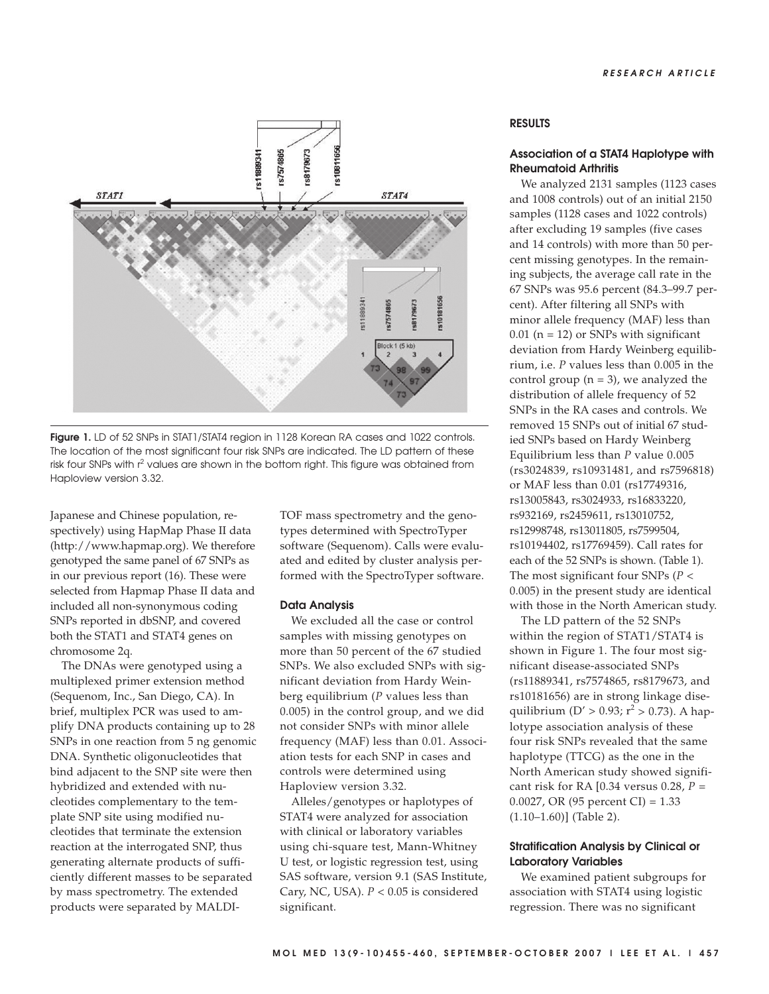

**Figure 1.** LD of 52 SNPs in STAT1/STAT4 region in 1128 Korean RA cases and 1022 controls. The location of the most significant four risk SNPs are indicated. The LD pattern of these risk four SNPs with  $r^2$  values are shown in the bottom right. This figure was obtained from Haploview version 3.32.

Japanese and Chinese population, respectively) using HapMap Phase II data (http://www.hapmap.org). We therefore genotyped the same panel of 67 SNPs as in our previous report (16). These were selected from Hapmap Phase II data and included all non-synonymous coding SNPs reported in dbSNP, and covered both the STAT1 and STAT4 genes on chromosome 2q.

The DNAs were genotyped using a multiplexed primer extension method (Sequenom, Inc., San Diego, CA). In brief, multiplex PCR was used to amplify DNA products containing up to 28 SNPs in one reaction from 5 ng genomic DNA. Synthetic oligonucleotides that bind adjacent to the SNP site were then hybridized and extended with nucleotides complementary to the template SNP site using modified nucleotides that terminate the extension reaction at the interrogated SNP, thus generating alternate products of sufficiently different masses to be separated by mass spectrometry. The extended products were separated by MALDI-

TOF mass spectrometry and the genotypes determined with SpectroTyper software (Sequenom). Calls were evaluated and edited by cluster analysis performed with the SpectroTyper software.

#### **Data Analysis**

We excluded all the case or control samples with missing genotypes on more than 50 percent of the 67 studied SNPs. We also excluded SNPs with significant deviation from Hardy Weinberg equilibrium (*P* values less than 0.005) in the control group, and we did not consider SNPs with minor allele frequency (MAF) less than 0.01. Association tests for each SNP in cases and controls were determined using Haploview version 3.32.

Alleles/genotypes or haplotypes of STAT4 were analyzed for association with clinical or laboratory variables using chi-square test, Mann-Whitney U test, or logistic regression test, using SAS software, version 9.1 (SAS Institute, Cary, NC, USA). *P* < 0.05 is considered significant.

## **RESULTS**

#### **Association of a STAT4 Haplotype with Rheumatoid Arthritis**

We analyzed 2131 samples (1123 cases and 1008 controls) out of an initial 2150 samples (1128 cases and 1022 controls) after excluding 19 samples (five cases and 14 controls) with more than 50 percent missing genotypes. In the remaining subjects, the average call rate in the 67 SNPs was 95.6 percent (84.3–99.7 percent). After filtering all SNPs with minor allele frequency (MAF) less than  $0.01$  (n = 12) or SNPs with significant deviation from Hardy Weinberg equilibrium, i.e. *P* values less than 0.005 in the control group  $(n = 3)$ , we analyzed the distribution of allele frequency of 52 SNPs in the RA cases and controls. We removed 15 SNPs out of initial 67 studied SNPs based on Hardy Weinberg Equilibrium less than *P* value 0.005 (rs3024839, rs10931481, and rs7596818) or MAF less than 0.01 (rs17749316, rs13005843, rs3024933, rs16833220, rs932169, rs2459611, rs13010752, rs12998748, rs13011805, rs7599504, rs10194402, rs17769459). Call rates for each of the 52 SNPs is shown. (Table 1). The most significant four SNPs (*P* < 0.005) in the present study are identical with those in the North American study.

The LD pattern of the 52 SNPs within the region of STAT1/STAT4 is shown in Figure 1. The four most significant disease-associated SNPs (rs11889341, rs7574865, rs8179673, and rs10181656) are in strong linkage disequilibrium ( $D' > 0.93$ ;  $r^2 > 0.73$ ). A haplotype association analysis of these four risk SNPs revealed that the same haplotype (TTCG) as the one in the North American study showed significant risk for RA [0.34 versus 0.28, *P* = 0.0027, OR (95 percent CI) = 1.33 (1.10–1.60)] (Table 2).

## **Stratification Analysis by Clinical or Laboratory Variables**

We examined patient subgroups for association with STAT4 using logistic regression. There was no significant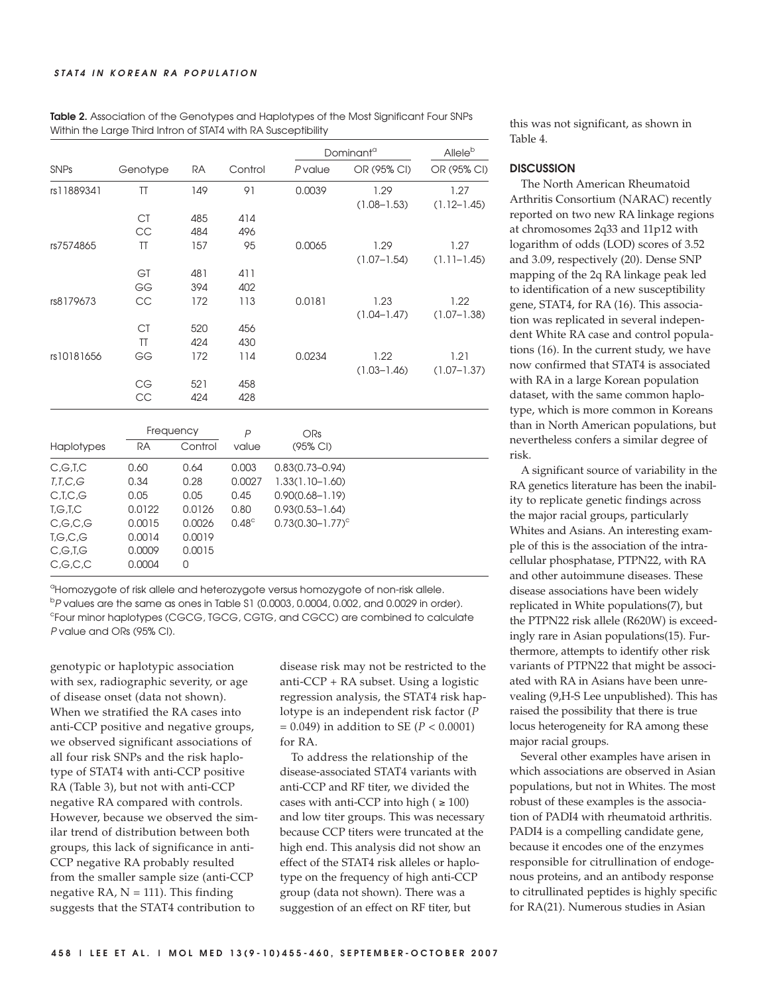|             |           |           |                |                             | Dominant <sup>a</sup>   |                         |
|-------------|-----------|-----------|----------------|-----------------------------|-------------------------|-------------------------|
| <b>SNPs</b> | Genotype  | <b>RA</b> | Control        | P value                     | OR (95% CI)             | OR (95% CI)             |
| rs11889341  | TT        | 149       | 91             | 0.0039                      | 1.29<br>$(1.08 - 1.53)$ | 1.27<br>$(1.12 - 1.45)$ |
|             | <b>CT</b> | 485       | 414            |                             |                         |                         |
|             | CC        | 484       | 496            |                             |                         |                         |
| rs7574865   | TT        | 157       | 95             | 0.0065                      | 1.29<br>$(1.07 - 1.54)$ | 1.27<br>$(1.11 - 1.45)$ |
|             | GT        | 481       | 411            |                             |                         |                         |
|             | GG        | 394       | 402            |                             |                         |                         |
| rs8179673   | CC        | 172       | 113            | 0.0181                      | 1.23<br>$(1.04 - 1.47)$ | 1.22<br>$(1.07 - 1.38)$ |
|             | <b>CT</b> | 520       | 456            |                             |                         |                         |
|             | $\Pi$     | 424       | 430            |                             |                         |                         |
| rs10181656  | GG        | 172       | 114            | 0.0234                      | 1.22                    | 1.21                    |
|             |           |           |                |                             | $(1.03 - 1.46)$         | $(1.07 - 1.37)$         |
|             | CG        | 521       | 458            |                             |                         |                         |
|             | CC        | 424       | 428            |                             |                         |                         |
|             | Frequency |           | $\overline{P}$ | <b>ORs</b>                  |                         |                         |
| Haplotypes  | <b>RA</b> | Control   | value          | (95% CI)                    |                         |                         |
| C, G, T, C  | 0.60      | 0.64      | 0.003          | $0.83(0.73 - 0.94)$         |                         |                         |
| T,T,C,G     | 0.34      | 0.28      | 0.0027         | $1.33(1.10 - 1.60)$         |                         |                         |
| C,T,C,G     | 0.05      | 0.05      | 0.45           | $0.90(0.68 - 1.19)$         |                         |                         |
| T,G,T,C     | 0.0122    | 0.0126    | 0.80           | $0.93(0.53 - 1.64)$         |                         |                         |
| C,G,C,G     | 0.0015    | 0.0026    | $0.48^\circ$   | $0.73(0.30 - 1.77)^{\circ}$ |                         |                         |
| T,G,C,G     | 0.0014    | 0.0019    |                |                             |                         |                         |
| C,G,T,G     | 0.0009    | 0.0015    |                |                             |                         |                         |
| C,G,C,C     | 0.0004    | 0         |                |                             |                         |                         |

**Table 2.** Association of the Genotypes and Haplotypes of the Most Significant Four SNPs Within the Large Third Intron of STAT4 with RA Susceptibility

<sup>a</sup>Homozygote of risk allele and heterozygote versus homozygote of non-risk allele. b P values are the same as ones in Table S1 (0.0003, 0.0004, 0.002, and 0.0029 in order). c Four minor haplotypes (CGCG, TGCG, CGTG, and CGCC) are combined to calculate P value and ORs (95% CI).

genotypic or haplotypic association with sex, radiographic severity, or age of disease onset (data not shown). When we stratified the RA cases into anti-CCP positive and negative groups, we observed significant associations of all four risk SNPs and the risk haplotype of STAT4 with anti-CCP positive RA (Table 3), but not with anti-CCP negative RA compared with controls. However, because we observed the similar trend of distribution between both groups, this lack of significance in anti-CCP negative RA probably resulted from the smaller sample size (anti-CCP negative RA,  $N = 111$ ). This finding suggests that the STAT4 contribution to

disease risk may not be restricted to the anti-CCP + RA subset. Using a logistic regression analysis, the STAT4 risk haplotype is an independent risk factor (*P* = 0.049) in addition to SE (*P* < 0.0001) for RA.

To address the relationship of the disease-associated STAT4 variants with anti-CCP and RF titer, we divided the cases with anti-CCP into high ( $\geq 100$ ) and low titer groups. This was necessary because CCP titers were truncated at the high end. This analysis did not show an effect of the STAT4 risk alleles or haplotype on the frequency of high anti-CCP group (data not shown). There was a suggestion of an effect on RF titer, but

this was not significant, as shown in Table 4.

#### **DISCUSSION**

The North American Rheumatoid Arthritis Consortium (NARAC) recently reported on two new RA linkage regions at chromosomes 2q33 and 11p12 with logarithm of odds (LOD) scores of 3.52 and 3.09, respectively (20). Dense SNP mapping of the 2q RA linkage peak led to identification of a new susceptibility gene, STAT4, for RA (16). This association was replicated in several independent White RA case and control populations (16). In the current study, we have now confirmed that STAT4 is associated with RA in a large Korean population dataset, with the same common haplotype, which is more common in Koreans than in North American populations, but nevertheless confers a similar degree of risk.

A significant source of variability in the RA genetics literature has been the inability to replicate genetic findings across the major racial groups, particularly Whites and Asians. An interesting example of this is the association of the intracellular phosphatase, PTPN22, with RA and other autoimmune diseases. These disease associations have been widely replicated in White populations(7), but the PTPN22 risk allele (R620W) is exceedingly rare in Asian populations(15). Furthermore, attempts to identify other risk variants of PTPN22 that might be associated with RA in Asians have been unrevealing (9,H-S Lee unpublished). This has raised the possibility that there is true locus heterogeneity for RA among these major racial groups.

Several other examples have arisen in which associations are observed in Asian populations, but not in Whites. The most robust of these examples is the association of PADI4 with rheumatoid arthritis. PADI4 is a compelling candidate gene, because it encodes one of the enzymes responsible for citrullination of endogenous proteins, and an antibody response to citrullinated peptides is highly specific for RA(21). Numerous studies in Asian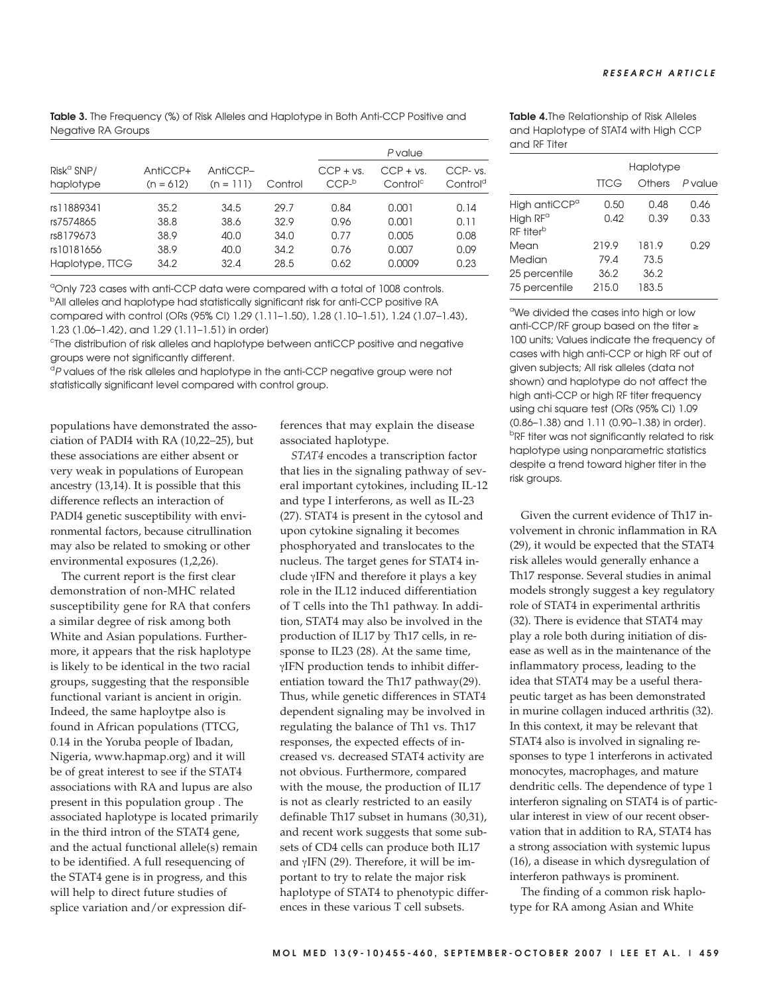**Table 3.** The Frequency (%) of Risk Alleles and Haplotype in Both Anti-CCP Positive and Negative RA Groups

|                      |             |             |         | P value          |                      |                      |
|----------------------|-------------|-------------|---------|------------------|----------------------|----------------------|
| $Risk^{\alpha}$ SNP/ | AntiCCP+    | AntiCCP-    | Control | $CCP + vs.$      | $CCP + vs.$          | CCP- vs.             |
| haplotype            | $(n = 612)$ | $(n = 111)$ |         | CCP <sup>b</sup> | Control <sup>c</sup> | Control <sup>d</sup> |
| rs11889341           | 35.2        | 34.5        | 29.7    | 0.84             | 0.001                | 0.14                 |
| rs7574865            | 38.8        | 38.6        | 32.9    | 0.96             | 0.001                | 0.11                 |
| rs8179673            | 38.9        | 40.0        | 34.0    | 0.77             | 0.005                | 0.08                 |
| rs10181656           | 38.9        | 40.0        | 34.2    | 0.76             | 0.007                | 0.09                 |
| Haplotype, TTCG      | 34.2        | 32.4        | 28.5    | 0.62             | 0.0009               | 0.23                 |

<sup>a</sup>Only 723 cases with anti-CCP data were compared with a total of 1008 controls. <sup>b</sup>All alleles and haplotype had statistically significant risk for anti-CCP positive RA compared with control [ORs (95% CI) 1.29 (1.11–1.50), 1.28 (1.10–1.51), 1.24 (1.07–1.43), 1.23 (1.06–1.42), and 1.29 (1.11–1.51) in order]

<sup>c</sup>The distribution of risk alleles and haplotype between antiCCP positive and negative groups were not significantly different.

 $^\text{d}$ P values of the risk alleles and haplotype in the anti-CCP negative group were not statistically significant level compared with control group.

populations have demonstrated the association of PADI4 with RA (10,22–25), but these associations are either absent or very weak in populations of European ancestry (13,14). It is possible that this difference reflects an interaction of PADI4 genetic susceptibility with environmental factors, because citrullination may also be related to smoking or other environmental exposures (1,2,26).

The current report is the first clear demonstration of non-MHC related susceptibility gene for RA that confers a similar degree of risk among both White and Asian populations. Furthermore, it appears that the risk haplotype is likely to be identical in the two racial groups, suggesting that the responsible functional variant is ancient in origin. Indeed, the same haploytpe also is found in African populations (TTCG, 0.14 in the Yoruba people of Ibadan, Nigeria, www.hapmap.org) and it will be of great interest to see if the STAT4 associations with RA and lupus are also present in this population group . The associated haplotype is located primarily in the third intron of the STAT4 gene, and the actual functional allele(s) remain to be identified. A full resequencing of the STAT4 gene is in progress, and this will help to direct future studies of splice variation and/or expression differences that may explain the disease associated haplotype.

*STAT4* encodes a transcription factor that lies in the signaling pathway of several important cytokines, including IL-12 and type I interferons, as well as IL-23 (27). STAT4 is present in the cytosol and upon cytokine signaling it becomes phosphoryated and translocates to the nucleus. The target genes for STAT4 include γIFN and therefore it plays a key role in the IL12 induced differentiation of T cells into the Th1 pathway. In addition, STAT4 may also be involved in the production of IL17 by Th17 cells, in response to IL23 (28). At the same time, γIFN production tends to inhibit differentiation toward the Th17 pathway(29). Thus, while genetic differences in STAT4 dependent signaling may be involved in regulating the balance of Th1 vs. Th17 responses, the expected effects of increased vs. decreased STAT4 activity are not obvious. Furthermore, compared with the mouse, the production of IL17 is not as clearly restricted to an easily definable Th17 subset in humans (30,31), and recent work suggests that some subsets of CD4 cells can produce both IL17 and γIFN (29). Therefore, it will be important to try to relate the major risk haplotype of STAT4 to phenotypic differences in these various T cell subsets.

**Table 4.**The Relationship of Risk Alleles and Haplotype of STAT4 with High CCP and RF Titer

|                           | Haplotype   |        |        |  |  |  |
|---------------------------|-------------|--------|--------|--|--|--|
|                           | <b>TTCG</b> | Others | Pvalue |  |  |  |
| High antiCCP <sup>a</sup> | 0.50        | 0.48   | 0.46   |  |  |  |
| High RF <sup>a</sup>      | 0.42        | 0.39   | 0.33   |  |  |  |
| RF titer <sup>b</sup>     |             |        |        |  |  |  |
| Mean                      | 219.9       | 181.9  | 0.29   |  |  |  |
| Median                    | 79.4        | 73.5   |        |  |  |  |
| 25 percentile             | 36.2        | 36.2   |        |  |  |  |
| 75 percentile             | 215.0       | 183.5  |        |  |  |  |
|                           |             |        |        |  |  |  |

<sup>a</sup>We divided the cases into high or low anti-CCP/RF group based on the titer ≥ 100 units; Values indicate the frequency of cases with high anti-CCP or high RF out of given subjects; All risk alleles (data not shown) and haplotype do not affect the high anti-CCP or high RF titer frequency using chi square test [ORs (95% CI) 1.09 (0.86–1.38) and 1.11 (0.90–1.38) in order]. <sup>b</sup>RF titer was not significantly related to risk haplotype using nonparametric statistics despite a trend toward higher titer in the risk groups.

Given the current evidence of Th17 involvement in chronic inflammation in RA (29), it would be expected that the STAT4 risk alleles would generally enhance a Th17 response. Several studies in animal models strongly suggest a key regulatory role of STAT4 in experimental arthritis (32). There is evidence that STAT4 may play a role both during initiation of disease as well as in the maintenance of the inflammatory process, leading to the idea that STAT4 may be a useful therapeutic target as has been demonstrated in murine collagen induced arthritis (32). In this context, it may be relevant that STAT4 also is involved in signaling responses to type 1 interferons in activated monocytes, macrophages, and mature dendritic cells. The dependence of type 1 interferon signaling on STAT4 is of particular interest in view of our recent observation that in addition to RA, STAT4 has a strong association with systemic lupus (16), a disease in which dysregulation of interferon pathways is prominent.

The finding of a common risk haplotype for RA among Asian and White